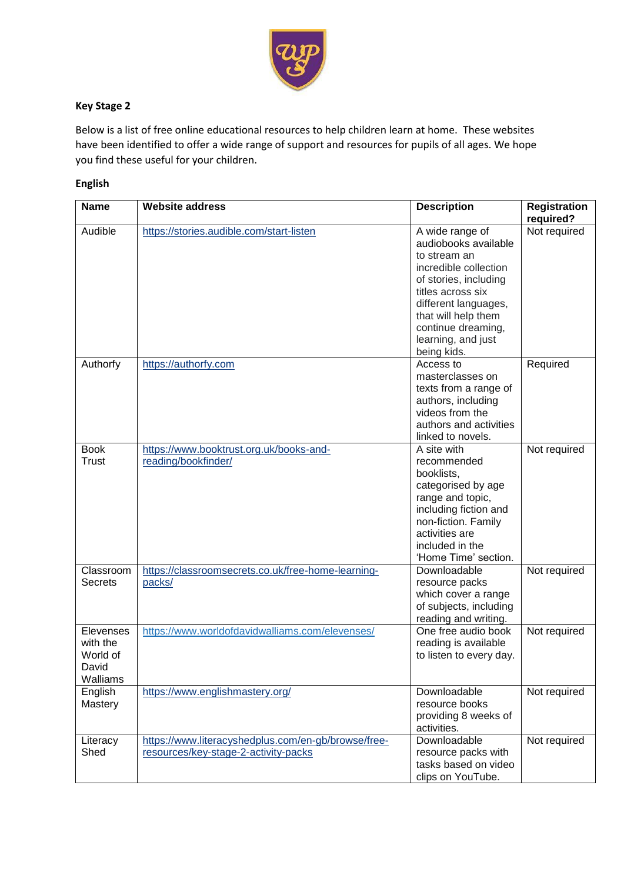

## **Key Stage 2**

Below is a list of free online educational resources to help children learn at home. These websites have been identified to offer a wide range of support and resources for pupils of all ages. We hope you find these useful for your children.

### **English**

| <b>Name</b>                                            | <b>Website address</b>                                                                      | <b>Description</b>                                                                                                                                                                                                                       | <b>Registration</b>       |
|--------------------------------------------------------|---------------------------------------------------------------------------------------------|------------------------------------------------------------------------------------------------------------------------------------------------------------------------------------------------------------------------------------------|---------------------------|
| Audible                                                | https://stories.audible.com/start-listen                                                    | A wide range of<br>audiobooks available<br>to stream an<br>incredible collection<br>of stories, including<br>titles across six<br>different languages,<br>that will help them<br>continue dreaming,<br>learning, and just<br>being kids. | required?<br>Not required |
| Authorfy                                               | https://authorfy.com                                                                        | Access to<br>masterclasses on<br>texts from a range of<br>authors, including<br>videos from the<br>authors and activities<br>linked to novels.                                                                                           | Required                  |
| <b>Book</b><br><b>Trust</b>                            | https://www.booktrust.org.uk/books-and-<br>reading/bookfinder/                              | A site with<br>recommended<br>booklists,<br>categorised by age<br>range and topic,<br>including fiction and<br>non-fiction. Family<br>activities are<br>included in the<br>'Home Time' section.                                          | Not required              |
| Classroom<br><b>Secrets</b>                            | https://classroomsecrets.co.uk/free-home-learning-<br>packs/                                | Downloadable<br>resource packs<br>which cover a range<br>of subjects, including<br>reading and writing.                                                                                                                                  | Not required              |
| Elevenses<br>with the<br>World of<br>David<br>Walliams | https://www.worldofdavidwalliams.com/elevenses/                                             | One free audio book<br>reading is available<br>to listen to every day.                                                                                                                                                                   | Not required              |
| English<br>Mastery                                     | https://www.englishmastery.org/                                                             | Downloadable<br>resource books<br>providing 8 weeks of<br>activities.                                                                                                                                                                    | Not required              |
| Literacy<br>Shed                                       | https://www.literacyshedplus.com/en-gb/browse/free-<br>resources/key-stage-2-activity-packs | Downloadable<br>resource packs with<br>tasks based on video<br>clips on YouTube.                                                                                                                                                         | Not required              |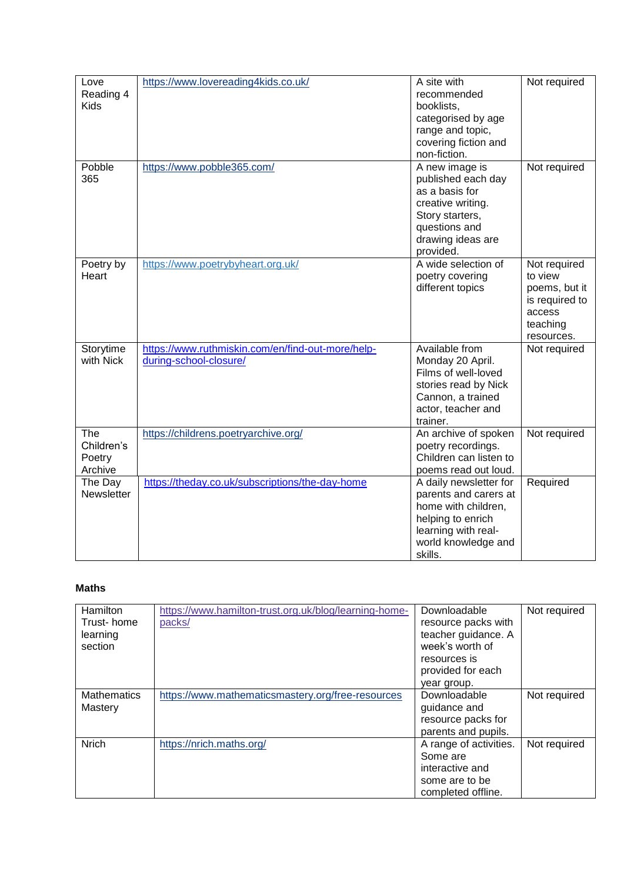| Love        | https://www.lovereading4kids.co.uk/               | A site with            | Not required   |
|-------------|---------------------------------------------------|------------------------|----------------|
| Reading 4   |                                                   | recommended            |                |
| <b>Kids</b> |                                                   | booklists,             |                |
|             |                                                   | categorised by age     |                |
|             |                                                   | range and topic,       |                |
|             |                                                   | covering fiction and   |                |
|             |                                                   | non-fiction.           |                |
| Pobble      | https://www.pobble365.com/                        | A new image is         | Not required   |
| 365         |                                                   | published each day     |                |
|             |                                                   | as a basis for         |                |
|             |                                                   | creative writing.      |                |
|             |                                                   | Story starters,        |                |
|             |                                                   | questions and          |                |
|             |                                                   | drawing ideas are      |                |
|             |                                                   | provided.              |                |
| Poetry by   | https://www.poetrybyheart.org.uk/                 | A wide selection of    | Not required   |
| Heart       |                                                   | poetry covering        | to view        |
|             |                                                   | different topics       | poems, but it  |
|             |                                                   |                        | is required to |
|             |                                                   |                        | access         |
|             |                                                   |                        | teaching       |
|             |                                                   |                        | resources.     |
| Storytime   | https://www.ruthmiskin.com/en/find-out-more/help- | Available from         | Not required   |
| with Nick   | during-school-closure/                            | Monday 20 April.       |                |
|             |                                                   | Films of well-loved    |                |
|             |                                                   | stories read by Nick   |                |
|             |                                                   | Cannon, a trained      |                |
|             |                                                   | actor, teacher and     |                |
|             |                                                   | trainer.               |                |
| The         | https://childrens.poetryarchive.org/              | An archive of spoken   | Not required   |
| Children's  |                                                   | poetry recordings.     |                |
| Poetry      |                                                   | Children can listen to |                |
| Archive     |                                                   | poems read out loud.   |                |
| The Day     | https://theday.co.uk/subscriptions/the-day-home   | A daily newsletter for | Required       |
| Newsletter  |                                                   | parents and carers at  |                |
|             |                                                   | home with children,    |                |
|             |                                                   | helping to enrich      |                |
|             |                                                   | learning with real-    |                |
|             |                                                   | world knowledge and    |                |
|             |                                                   | skills.                |                |

### **Maths**

| Hamilton<br>Trust-home<br>learning<br>section | https://www.hamilton-trust.org.uk/blog/learning-home-<br>packs/ | Downloadable<br>resource packs with<br>teacher guidance. A<br>week's worth of<br>resources is<br>provided for each<br>year group. | Not required |
|-----------------------------------------------|-----------------------------------------------------------------|-----------------------------------------------------------------------------------------------------------------------------------|--------------|
| <b>Mathematics</b>                            | https://www.mathematicsmastery.org/free-resources               | Downloadable                                                                                                                      | Not required |
| Mastery                                       |                                                                 | guidance and                                                                                                                      |              |
|                                               |                                                                 | resource packs for                                                                                                                |              |
|                                               |                                                                 | parents and pupils.                                                                                                               |              |
| <b>Nrich</b>                                  | https://nrich.maths.org/                                        | A range of activities.                                                                                                            | Not required |
|                                               |                                                                 | Some are                                                                                                                          |              |
|                                               |                                                                 | interactive and                                                                                                                   |              |
|                                               |                                                                 | some are to be                                                                                                                    |              |
|                                               |                                                                 | completed offline.                                                                                                                |              |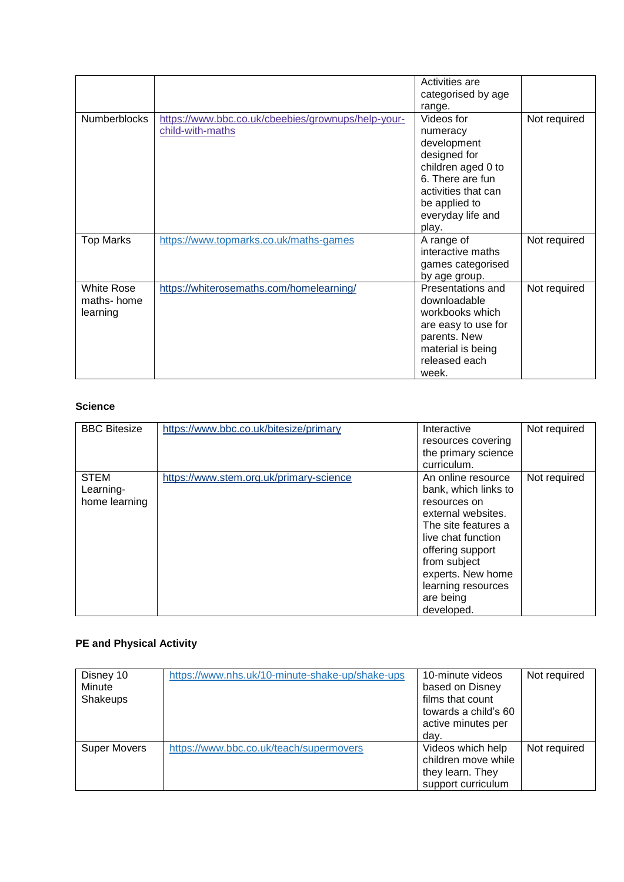|                   |                                                    | Activities are      |              |
|-------------------|----------------------------------------------------|---------------------|--------------|
|                   |                                                    | categorised by age  |              |
|                   |                                                    | range.              |              |
| Numberblocks      | https://www.bbc.co.uk/cbeebies/grownups/help-your- | Videos for          | Not required |
|                   | child-with-maths                                   | numeracy            |              |
|                   |                                                    | development         |              |
|                   |                                                    | designed for        |              |
|                   |                                                    | children aged 0 to  |              |
|                   |                                                    | 6. There are fun    |              |
|                   |                                                    | activities that can |              |
|                   |                                                    | be applied to       |              |
|                   |                                                    | everyday life and   |              |
|                   |                                                    | play.               |              |
| <b>Top Marks</b>  | https://www.topmarks.co.uk/maths-games             | A range of          | Not required |
|                   |                                                    | interactive maths   |              |
|                   |                                                    | games categorised   |              |
|                   |                                                    | by age group.       |              |
| <b>White Rose</b> | https://whiterosemaths.com/homelearning/           | Presentations and   | Not required |
| maths-home        |                                                    | downloadable        |              |
| learning          |                                                    | workbooks which     |              |
|                   |                                                    | are easy to use for |              |
|                   |                                                    | parents. New        |              |
|                   |                                                    | material is being   |              |
|                   |                                                    | released each       |              |
|                   |                                                    | week.               |              |

#### **Science**

| <b>BBC Bitesize</b>                       | https://www.bbc.co.uk/bitesize/primary  | Interactive<br>resources covering<br>the primary science<br>curriculum.                                                                                                                                                                 | Not required |
|-------------------------------------------|-----------------------------------------|-----------------------------------------------------------------------------------------------------------------------------------------------------------------------------------------------------------------------------------------|--------------|
| <b>STEM</b><br>Learning-<br>home learning | https://www.stem.org.uk/primary-science | An online resource<br>bank, which links to<br>resources on<br>external websites.<br>The site features a<br>live chat function<br>offering support<br>from subject<br>experts. New home<br>learning resources<br>are being<br>developed. | Not required |

# **PE and Physical Activity**

| Disney 10<br>Minute<br>Shakeups | https://www.nhs.uk/10-minute-shake-up/shake-ups | 10-minute videos<br>based on Disney<br>films that count<br>towards a child's 60<br>active minutes per<br>day. | Not required |
|---------------------------------|-------------------------------------------------|---------------------------------------------------------------------------------------------------------------|--------------|
| <b>Super Movers</b>             | https://www.bbc.co.uk/teach/supermovers         | Videos which help<br>children move while<br>they learn. They<br>support curriculum                            | Not required |